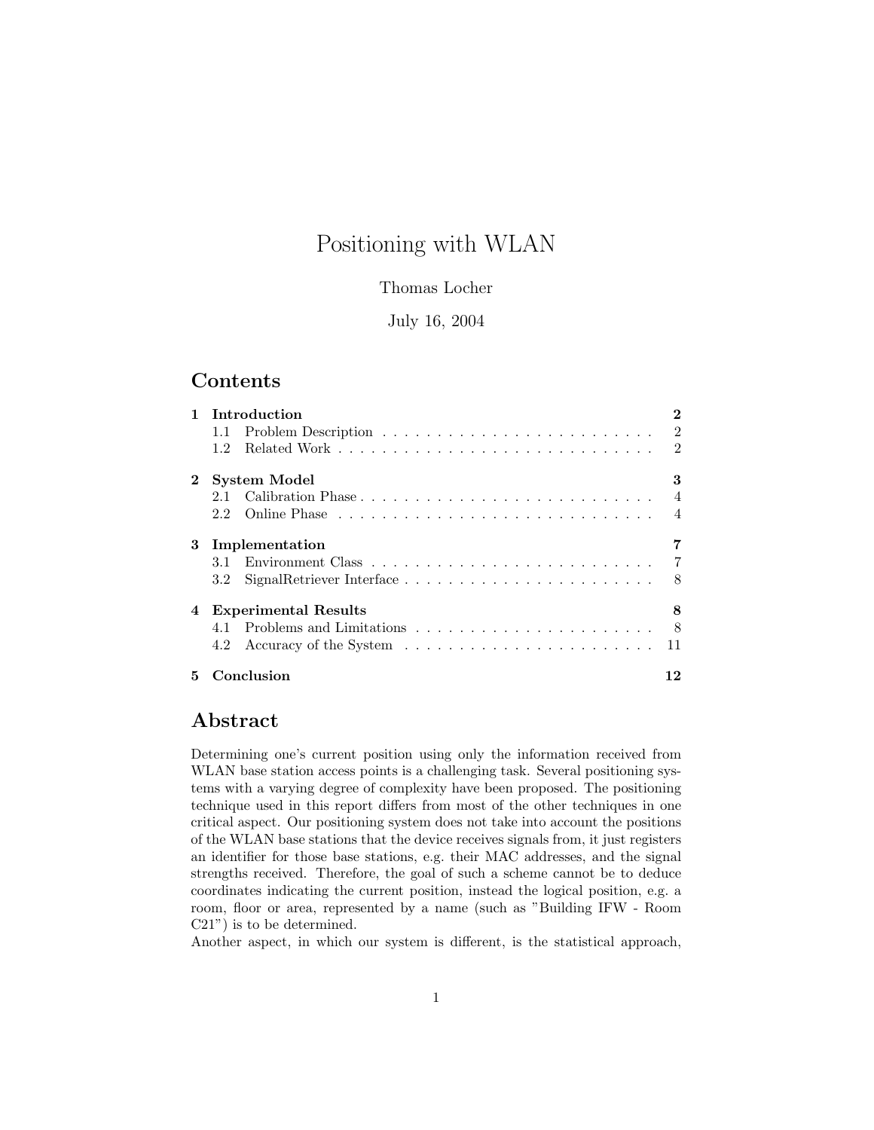# Positioning with WLAN

### Thomas Locher

### July 16, 2004

### Contents

|             |               | Introduction                |                |
|-------------|---------------|-----------------------------|----------------|
|             | 1.1           |                             | $\overline{2}$ |
|             | $1.2^{\circ}$ |                             | $\mathfrak{D}$ |
| $2^{\circ}$ |               | <b>System Model</b>         | 3              |
|             |               |                             | $\overline{4}$ |
|             | 2.2           |                             | $\overline{4}$ |
| 3           |               | Implementation              |                |
|             |               |                             | $\overline{7}$ |
|             | 3.2           |                             | 8              |
| 4           |               | <b>Experimental Results</b> | 8              |
|             |               |                             | - 8            |
|             | 4.2           |                             | 11             |
| 5.          |               | Conclusion                  |                |

# Abstract

Determining one's current position using only the information received from WLAN base station access points is a challenging task. Several positioning systems with a varying degree of complexity have been proposed. The positioning technique used in this report differs from most of the other techniques in one critical aspect. Our positioning system does not take into account the positions of the WLAN base stations that the device receives signals from, it just registers an identifier for those base stations, e.g. their MAC addresses, and the signal strengths received. Therefore, the goal of such a scheme cannot be to deduce coordinates indicating the current position, instead the logical position, e.g. a room, floor or area, represented by a name (such as "Building IFW - Room C21") is to be determined.

Another aspect, in which our system is different, is the statistical approach,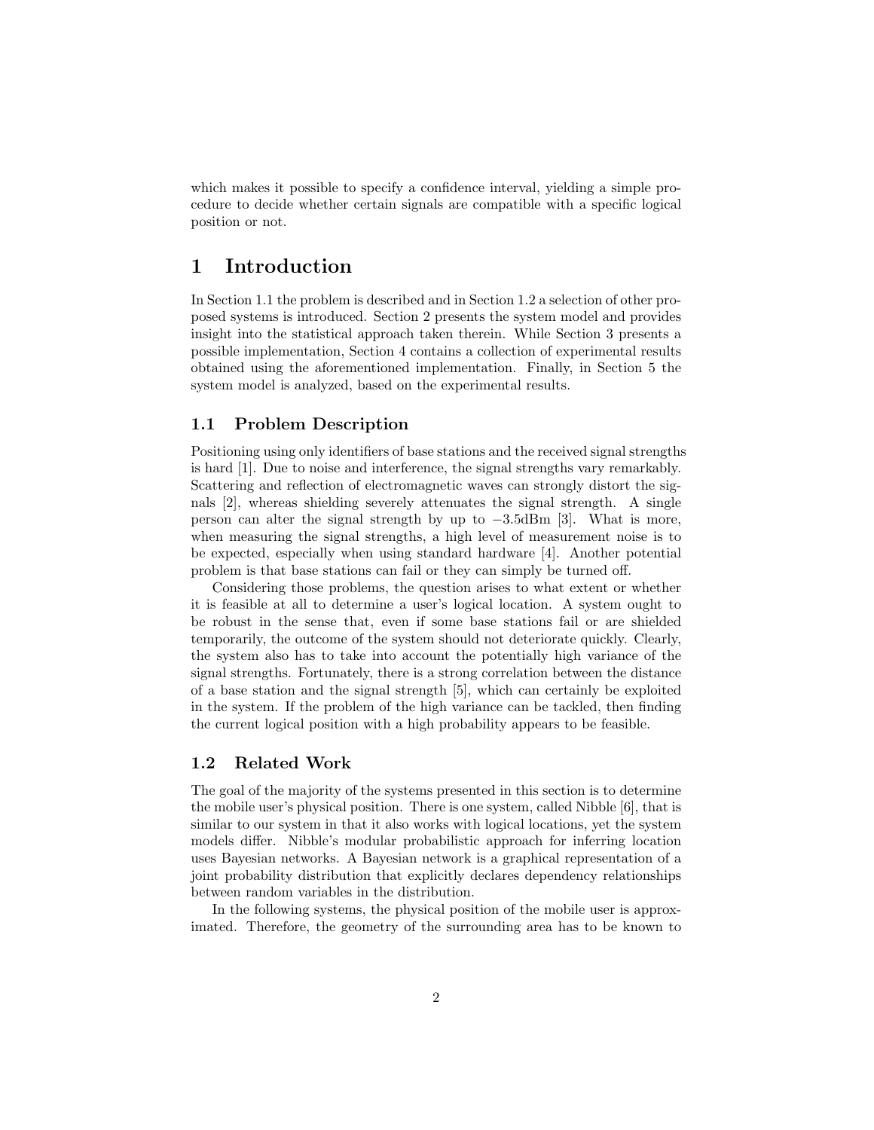which makes it possible to specify a confidence interval, yielding a simple procedure to decide whether certain signals are compatible with a specific logical position or not.

# 1 Introduction

In Section 1.1 the problem is described and in Section 1.2 a selection of other proposed systems is introduced. Section 2 presents the system model and provides insight into the statistical approach taken therein. While Section 3 presents a possible implementation, Section 4 contains a collection of experimental results obtained using the aforementioned implementation. Finally, in Section 5 the system model is analyzed, based on the experimental results.

### 1.1 Problem Description

Positioning using only identifiers of base stations and the received signal strengths is hard [1]. Due to noise and interference, the signal strengths vary remarkably. Scattering and reflection of electromagnetic waves can strongly distort the signals [2], whereas shielding severely attenuates the signal strength. A single person can alter the signal strength by up to  $-3.5$ dBm [3]. What is more, when measuring the signal strengths, a high level of measurement noise is to be expected, especially when using standard hardware [4]. Another potential problem is that base stations can fail or they can simply be turned off.

Considering those problems, the question arises to what extent or whether it is feasible at all to determine a user's logical location. A system ought to be robust in the sense that, even if some base stations fail or are shielded temporarily, the outcome of the system should not deteriorate quickly. Clearly, the system also has to take into account the potentially high variance of the signal strengths. Fortunately, there is a strong correlation between the distance of a base station and the signal strength [5], which can certainly be exploited in the system. If the problem of the high variance can be tackled, then finding the current logical position with a high probability appears to be feasible.

### 1.2 Related Work

The goal of the majority of the systems presented in this section is to determine the mobile user's physical position. There is one system, called Nibble [6], that is similar to our system in that it also works with logical locations, yet the system models differ. Nibble's modular probabilistic approach for inferring location uses Bayesian networks. A Bayesian network is a graphical representation of a joint probability distribution that explicitly declares dependency relationships between random variables in the distribution.

In the following systems, the physical position of the mobile user is approximated. Therefore, the geometry of the surrounding area has to be known to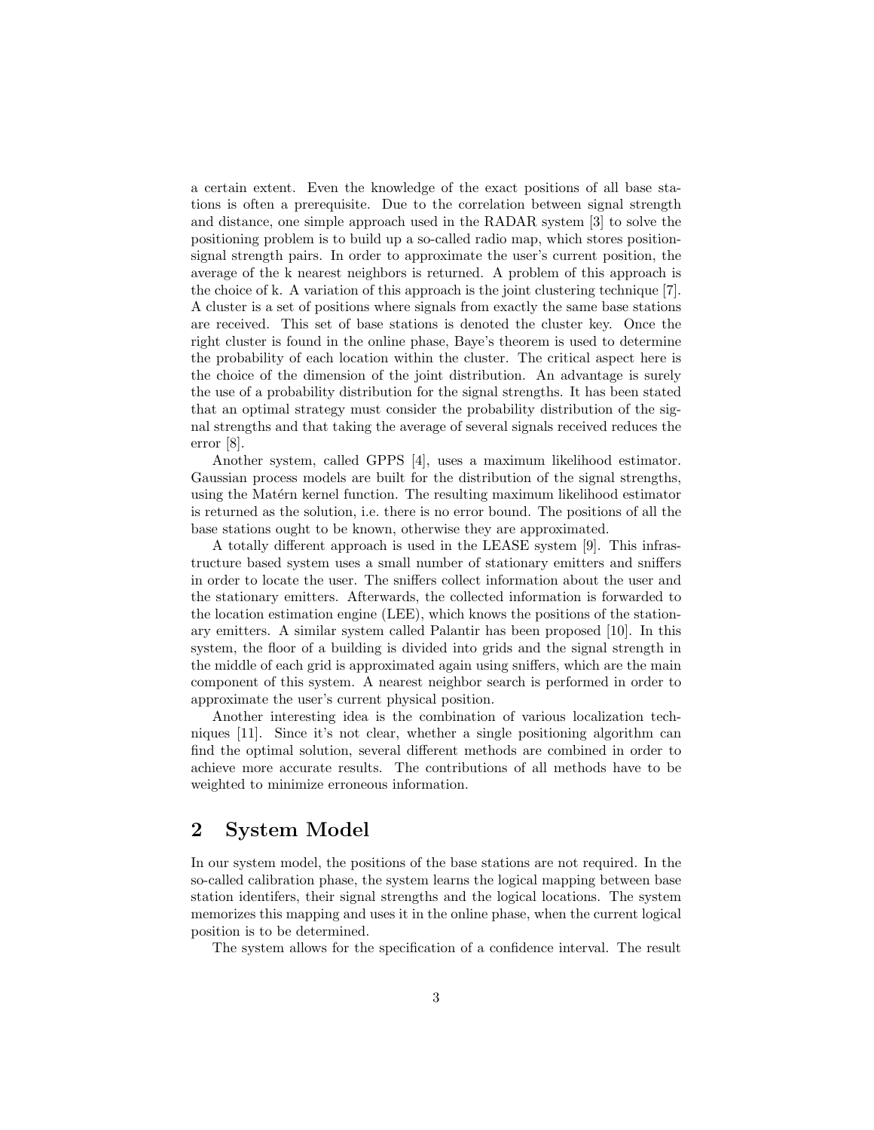a certain extent. Even the knowledge of the exact positions of all base stations is often a prerequisite. Due to the correlation between signal strength and distance, one simple approach used in the RADAR system [3] to solve the positioning problem is to build up a so-called radio map, which stores positionsignal strength pairs. In order to approximate the user's current position, the average of the k nearest neighbors is returned. A problem of this approach is the choice of k. A variation of this approach is the joint clustering technique [7]. A cluster is a set of positions where signals from exactly the same base stations are received. This set of base stations is denoted the cluster key. Once the right cluster is found in the online phase, Baye's theorem is used to determine the probability of each location within the cluster. The critical aspect here is the choice of the dimension of the joint distribution. An advantage is surely the use of a probability distribution for the signal strengths. It has been stated that an optimal strategy must consider the probability distribution of the signal strengths and that taking the average of several signals received reduces the error [8].

Another system, called GPPS [4], uses a maximum likelihood estimator. Gaussian process models are built for the distribution of the signal strengths, using the Matérn kernel function. The resulting maximum likelihood estimator is returned as the solution, i.e. there is no error bound. The positions of all the base stations ought to be known, otherwise they are approximated.

A totally different approach is used in the LEASE system [9]. This infrastructure based system uses a small number of stationary emitters and sniffers in order to locate the user. The sniffers collect information about the user and the stationary emitters. Afterwards, the collected information is forwarded to the location estimation engine (LEE), which knows the positions of the stationary emitters. A similar system called Palantir has been proposed [10]. In this system, the floor of a building is divided into grids and the signal strength in the middle of each grid is approximated again using sniffers, which are the main component of this system. A nearest neighbor search is performed in order to approximate the user's current physical position.

Another interesting idea is the combination of various localization techniques [11]. Since it's not clear, whether a single positioning algorithm can find the optimal solution, several different methods are combined in order to achieve more accurate results. The contributions of all methods have to be weighted to minimize erroneous information.

# 2 System Model

In our system model, the positions of the base stations are not required. In the so-called calibration phase, the system learns the logical mapping between base station identifers, their signal strengths and the logical locations. The system memorizes this mapping and uses it in the online phase, when the current logical position is to be determined.

The system allows for the specification of a confidence interval. The result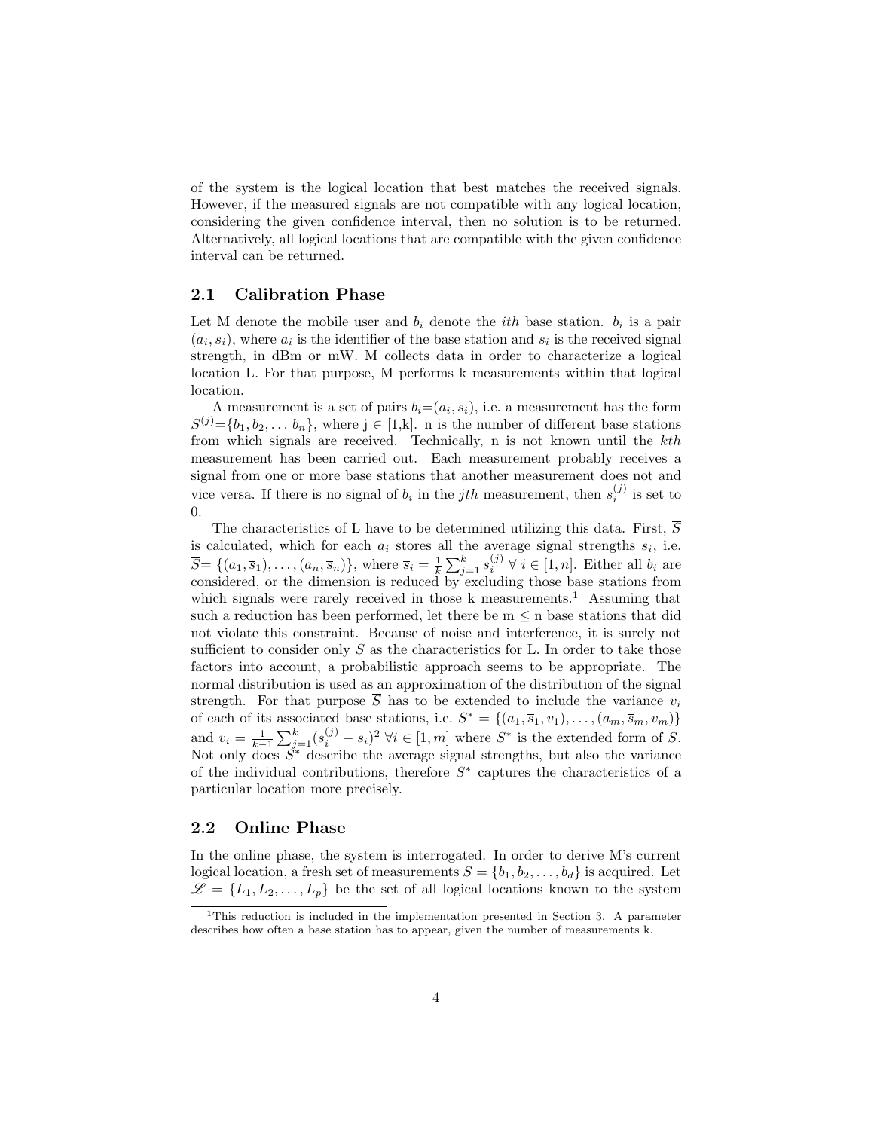of the system is the logical location that best matches the received signals. However, if the measured signals are not compatible with any logical location, considering the given confidence interval, then no solution is to be returned. Alternatively, all logical locations that are compatible with the given confidence interval can be returned.

#### 2.1 Calibration Phase

Let M denote the mobile user and  $b_i$  denote the *ith* base station.  $b_i$  is a pair  $(a_i, s_i)$ , where  $a_i$  is the identifier of the base station and  $s_i$  is the received signal strength, in dBm or mW. M collects data in order to characterize a logical location L. For that purpose, M performs k measurements within that logical location.

A measurement is a set of pairs  $b_i = (a_i, s_i)$ , i.e. a measurement has the form  $S^{(j)} = \{b_1, b_2, \ldots, b_n\}$ , where  $j \in [1, k]$ . n is the number of different base stations from which signals are received. Technically, n is not known until the kth measurement has been carried out. Each measurement probably receives a signal from one or more base stations that another measurement does not and vice versa. If there is no signal of  $b_i$  in the *jth* measurement, then  $s_i^{(j)}$  is set to 0.

The characteristics of L have to be determined utilizing this data. First,  $\overline{S}$ is calculated, which for each  $a_i$  stores all the average signal strengths  $\bar{s}_i$ , i.e.  $\overline{S} = \{(a_1, \overline{s}_1), \ldots, (a_n, \overline{s}_n)\}\$ , where  $\overline{s}_i = \frac{1}{k} \sum_{j=1}^k s_i^{(j)} \ \forall \ i \in [1, n]$ . Either all  $b_i$  are considered, or the dimension is reduced by excluding those base stations from which signals were rarely received in those  $k$  measurements.<sup>1</sup> Assuming that such a reduction has been performed, let there be  $m < n$  base stations that did not violate this constraint. Because of noise and interference, it is surely not sufficient to consider only  $\overline{S}$  as the characteristics for L. In order to take those factors into account, a probabilistic approach seems to be appropriate. The normal distribution is used as an approximation of the distribution of the signal strength. For that purpose  $\overline{S}$  has to be extended to include the variance  $v_i$ of each of its associated base stations, i.e.  $S^* = \{(a_1, \overline{s}_1, v_1), \ldots, (a_m, \overline{s}_m, v_m)\}\$ and  $v_i = \frac{1}{k-1} \sum_{j=1}^k (s_i^{(j)} - \overline{s}_i)^2 \ \forall i \in [1, m]$  where  $S^*$  is the extended form of  $\overline{S}$ . Not only does  $S^*$  describe the average signal strengths, but also the variance of the individual contributions, therefore  $S^*$  captures the characteristics of a particular location more precisely.

#### 2.2 Online Phase

In the online phase, the system is interrogated. In order to derive M's current logical location, a fresh set of measurements  $S = \{b_1, b_2, \ldots, b_d\}$  is acquired. Let  $\mathscr{L} = \{L_1, L_2, \ldots, L_n\}$  be the set of all logical locations known to the system

<sup>&</sup>lt;sup>1</sup>This reduction is included in the implementation presented in Section 3. A parameter describes how often a base station has to appear, given the number of measurements k.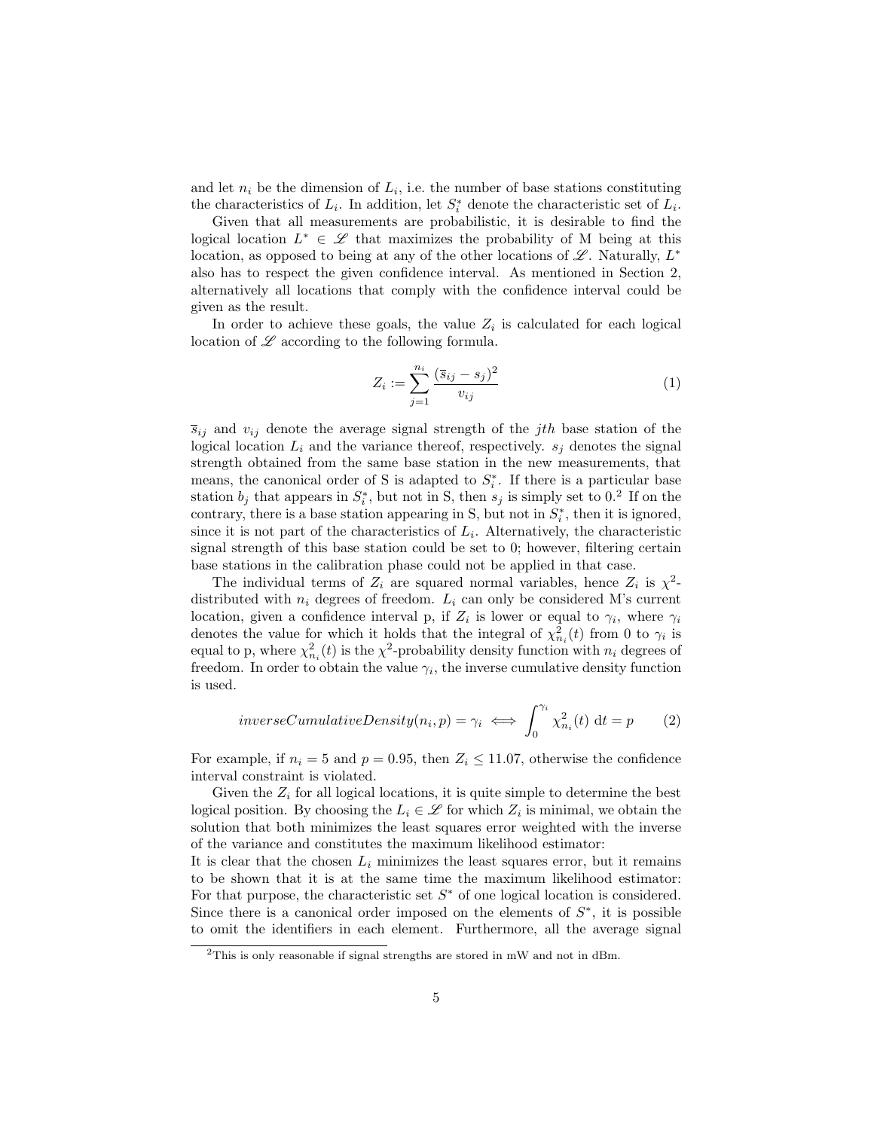and let  $n_i$  be the dimension of  $L_i$ , i.e. the number of base stations constituting the characteristics of  $L_i$ . In addition, let  $S_i^*$  denote the characteristic set of  $L_i$ .

Given that all measurements are probabilistic, it is desirable to find the logical location  $L^* \in \mathscr{L}$  that maximizes the probability of M being at this location, as opposed to being at any of the other locations of  $\mathscr{L}$ . Naturally,  $L^*$ also has to respect the given confidence interval. As mentioned in Section 2, alternatively all locations that comply with the confidence interval could be given as the result.

In order to achieve these goals, the value  $Z_i$  is calculated for each logical location of  $\mathscr L$  according to the following formula.

$$
Z_i := \sum_{j=1}^{n_i} \frac{(\bar{s}_{ij} - s_j)^2}{v_{ij}}
$$
 (1)

 $\overline{s}_{ij}$  and  $v_{ij}$  denote the average signal strength of the *jth* base station of the logical location  $L_i$  and the variance thereof, respectively.  $s_j$  denotes the signal strength obtained from the same base station in the new measurements, that means, the canonical order of S is adapted to  $S_i^*$ . If there is a particular base station  $b_j$  that appears in  $S_i^*$ , but not in S, then  $s_j$  is simply set to 0.<sup>2</sup> If on the contrary, there is a base station appearing in S, but not in  $S_i^*$ , then it is ignored, since it is not part of the characteristics of  $L_i$ . Alternatively, the characteristic signal strength of this base station could be set to 0; however, filtering certain base stations in the calibration phase could not be applied in that case.

The individual terms of  $Z_i$  are squared normal variables, hence  $Z_i$  is  $\chi^2$ distributed with  $n_i$  degrees of freedom.  $L_i$  can only be considered M's current location, given a confidence interval p, if  $Z_i$  is lower or equal to  $\gamma_i$ , where  $\gamma_i$ denotes the value for which it holds that the integral of  $\chi^2_{n_i}(t)$  from 0 to  $\gamma_i$  is equal to p, where  $\chi^2_{n_i}(t)$  is the  $\chi^2$ -probability density function with  $n_i$  degrees of freedom. In order to obtain the value  $\gamma_i$ , the inverse cumulative density function is used.

$$
inverseCumulative Density(n_i, p) = \gamma_i \iff \int_0^{\gamma_i} \chi^2_{n_i}(t) \, \mathrm{d}t = p \tag{2}
$$

For example, if  $n_i = 5$  and  $p = 0.95$ , then  $Z_i \le 11.07$ , otherwise the confidence interval constraint is violated.

Given the  $Z_i$  for all logical locations, it is quite simple to determine the best logical position. By choosing the  $L_i \in \mathcal{L}$  for which  $Z_i$  is minimal, we obtain the solution that both minimizes the least squares error weighted with the inverse of the variance and constitutes the maximum likelihood estimator:

It is clear that the chosen  $L_i$  minimizes the least squares error, but it remains to be shown that it is at the same time the maximum likelihood estimator: For that purpose, the characteristic set  $S^*$  of one logical location is considered. Since there is a canonical order imposed on the elements of  $S^*$ , it is possible to omit the identifiers in each element. Furthermore, all the average signal

<sup>&</sup>lt;sup>2</sup>This is only reasonable if signal strengths are stored in mW and not in dBm.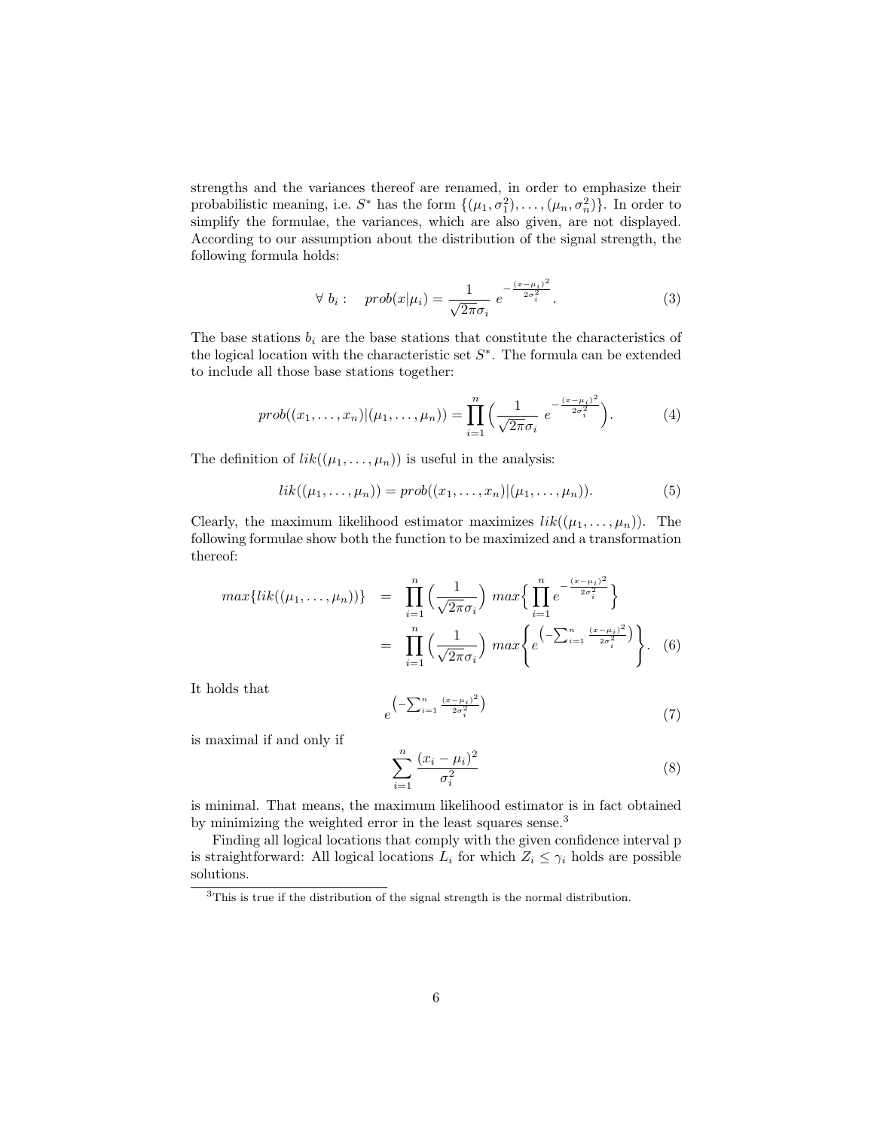strengths and the variances thereof are renamed, in order to emphasize their probabilistic meaning, i.e.  $S^*$  has the form  $\{(\mu_1, \sigma_1^2), \ldots, (\mu_n, \sigma_n^2)\}\$ . In order to simplify the formulae, the variances, which are also given, are not displayed. According to our assumption about the distribution of the signal strength, the following formula holds:

$$
\forall b_i: \quad prob(x|\mu_i) = \frac{1}{\sqrt{2\pi}\sigma_i} e^{-\frac{(x-\mu_i)^2}{2\sigma_i^2}}.
$$
 (3)

The base stations  $b_i$  are the base stations that constitute the characteristics of the logical location with the characteristic set  $S^*$ . The formula can be extended to include all those base stations together:

$$
prob((x_1, \ldots, x_n)|(\mu_1, \ldots, \mu_n)) = \prod_{i=1}^n \left( \frac{1}{\sqrt{2\pi}\sigma_i} e^{-\frac{(x-\mu_i)^2}{2\sigma_i^2}} \right).
$$
 (4)

The definition of  $lik((\mu_1, \ldots, \mu_n))$  is useful in the analysis:

$$
lik((\mu_1, ..., \mu_n)) = prob((x_1, ..., x_n)|(\mu_1, ..., \mu_n)).
$$
\n(5)

Clearly, the maximum likelihood estimator maximizes  $lik((\mu_1, \ldots, \mu_n))$ . The following formulae show both the function to be maximized and a transformation thereof:

$$
\begin{split} \max\{lik((\mu_1, \dots, \mu_n))\} &= \prod_{i=1}^n \left(\frac{1}{\sqrt{2\pi}\sigma_i}\right) \max\left\{\prod_{i=1}^n e^{-\frac{(x-\mu_i)^2}{2\sigma_i^2}}\right\} \\ &= \prod_{i=1}^n \left(\frac{1}{\sqrt{2\pi}\sigma_i}\right) \max\left\{e^{\left(-\sum_{i=1}^n \frac{(x-\mu_i)^2}{2\sigma_i^2}\right)}\right\}. \end{split} \tag{6}
$$

It holds that

$$
e^{\left(-\sum_{i=1}^{n} \frac{(x-\mu_i)^2}{2\sigma_i^2}\right)}\tag{7}
$$

is maximal if and only if

$$
\sum_{i=1}^{n} \frac{(x_i - \mu_i)^2}{\sigma_i^2} \tag{8}
$$

is minimal. That means, the maximum likelihood estimator is in fact obtained by minimizing the weighted error in the least squares sense.<sup>3</sup>

Finding all logical locations that comply with the given confidence interval p is straightforward: All logical locations  $L_i$  for which  $Z_i \leq \gamma_i$  holds are possible solutions.

 $\overline{3}$ This is true if the distribution of the signal strength is the normal distribution.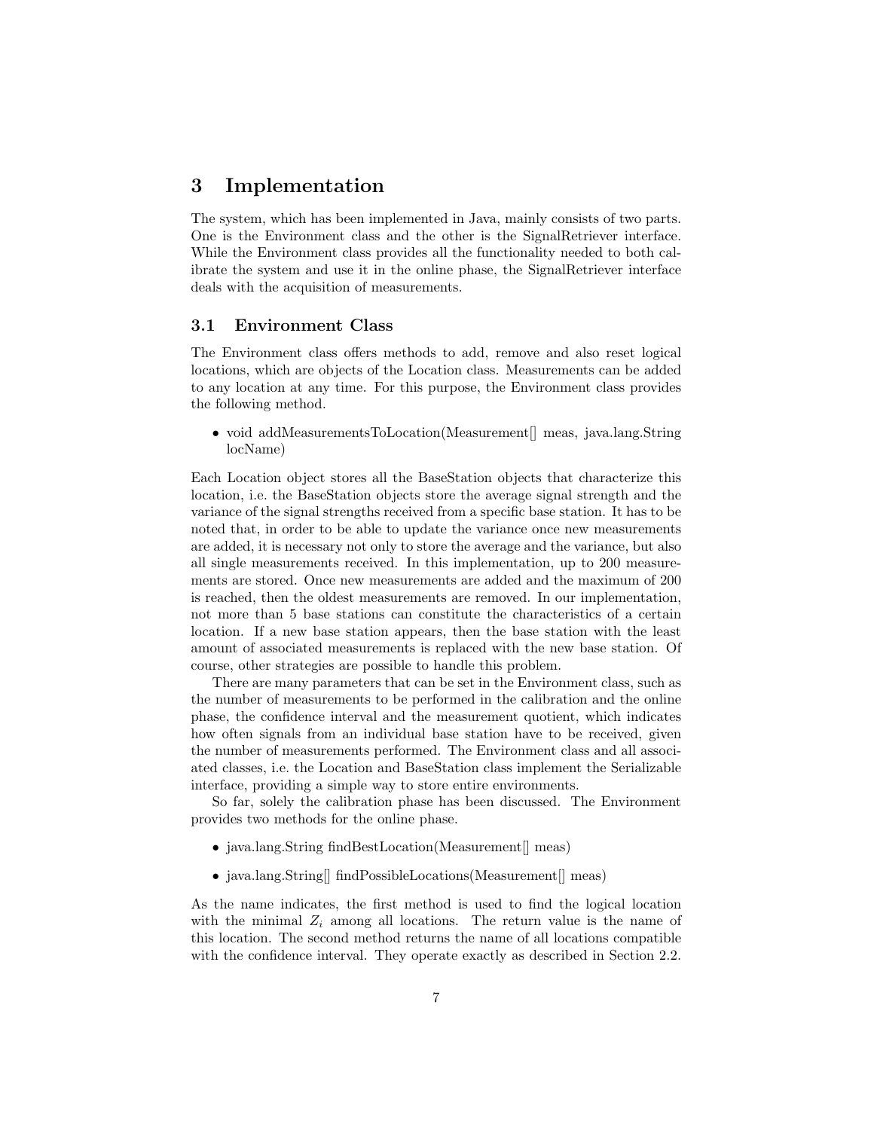# 3 Implementation

The system, which has been implemented in Java, mainly consists of two parts. One is the Environment class and the other is the SignalRetriever interface. While the Environment class provides all the functionality needed to both calibrate the system and use it in the online phase, the SignalRetriever interface deals with the acquisition of measurements.

#### 3.1 Environment Class

The Environment class offers methods to add, remove and also reset logical locations, which are objects of the Location class. Measurements can be added to any location at any time. For this purpose, the Environment class provides the following method.

• void addMeasurementsToLocation(Measurement | meas, java.lang.String locName)

Each Location object stores all the BaseStation objects that characterize this location, i.e. the BaseStation objects store the average signal strength and the variance of the signal strengths received from a specific base station. It has to be noted that, in order to be able to update the variance once new measurements are added, it is necessary not only to store the average and the variance, but also all single measurements received. In this implementation, up to 200 measurements are stored. Once new measurements are added and the maximum of 200 is reached, then the oldest measurements are removed. In our implementation, not more than 5 base stations can constitute the characteristics of a certain location. If a new base station appears, then the base station with the least amount of associated measurements is replaced with the new base station. Of course, other strategies are possible to handle this problem.

There are many parameters that can be set in the Environment class, such as the number of measurements to be performed in the calibration and the online phase, the confidence interval and the measurement quotient, which indicates how often signals from an individual base station have to be received, given the number of measurements performed. The Environment class and all associated classes, i.e. the Location and BaseStation class implement the Serializable interface, providing a simple way to store entire environments.

So far, solely the calibration phase has been discussed. The Environment provides two methods for the online phase.

- java.lang.String findBestLocation(Measurement[] meas)
- java.lang.String | findPossibleLocations (Measurement | meas)

As the name indicates, the first method is used to find the logical location with the minimal  $Z_i$  among all locations. The return value is the name of this location. The second method returns the name of all locations compatible with the confidence interval. They operate exactly as described in Section 2.2.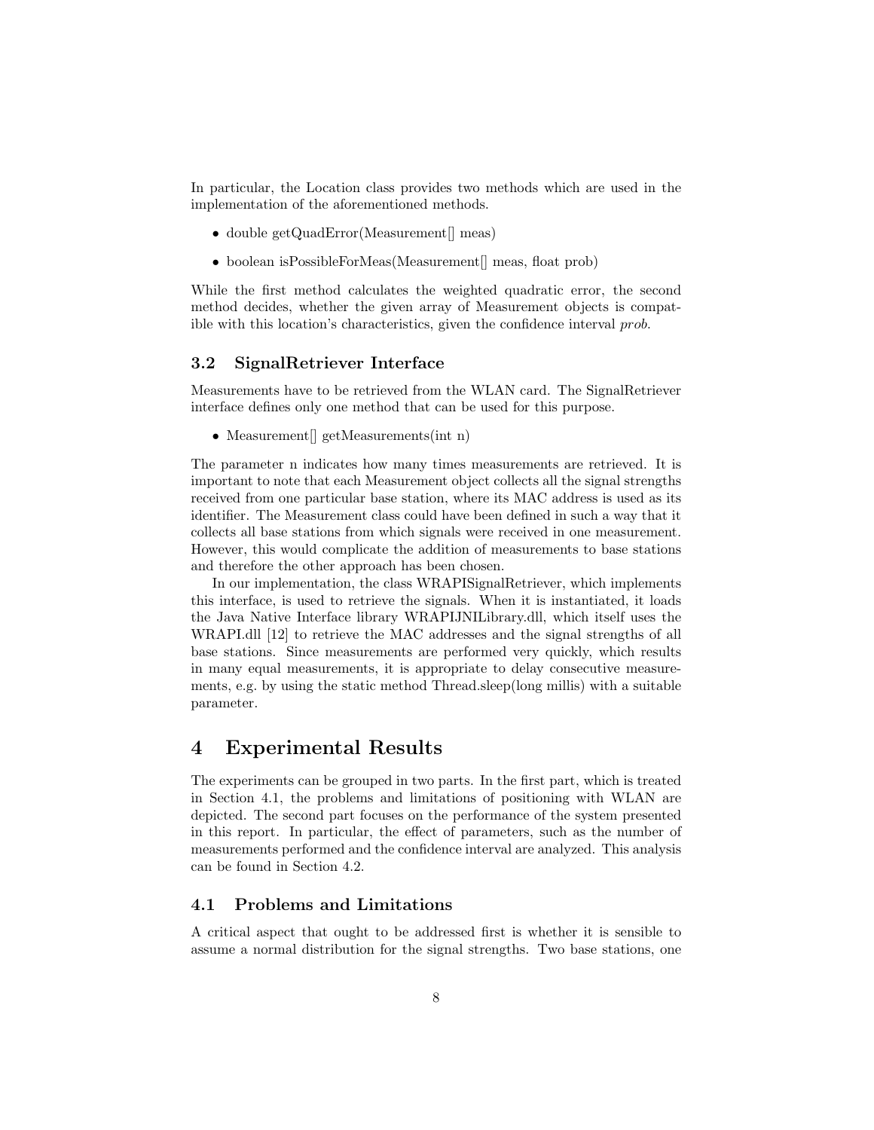In particular, the Location class provides two methods which are used in the implementation of the aforementioned methods.

- double getQuadError(Measurement[] meas)
- boolean isPossibleForMeas(Measurement | meas, float prob)

While the first method calculates the weighted quadratic error, the second method decides, whether the given array of Measurement objects is compatible with this location's characteristics, given the confidence interval prob.

#### 3.2 SignalRetriever Interface

Measurements have to be retrieved from the WLAN card. The SignalRetriever interface defines only one method that can be used for this purpose.

• Measurement [] getMeasurements(int n)

The parameter n indicates how many times measurements are retrieved. It is important to note that each Measurement object collects all the signal strengths received from one particular base station, where its MAC address is used as its identifier. The Measurement class could have been defined in such a way that it collects all base stations from which signals were received in one measurement. However, this would complicate the addition of measurements to base stations and therefore the other approach has been chosen.

In our implementation, the class WRAPISignalRetriever, which implements this interface, is used to retrieve the signals. When it is instantiated, it loads the Java Native Interface library WRAPIJNILibrary.dll, which itself uses the WRAPI.dll [12] to retrieve the MAC addresses and the signal strengths of all base stations. Since measurements are performed very quickly, which results in many equal measurements, it is appropriate to delay consecutive measurements, e.g. by using the static method Thread.sleep(long millis) with a suitable parameter.

## 4 Experimental Results

The experiments can be grouped in two parts. In the first part, which is treated in Section 4.1, the problems and limitations of positioning with WLAN are depicted. The second part focuses on the performance of the system presented in this report. In particular, the effect of parameters, such as the number of measurements performed and the confidence interval are analyzed. This analysis can be found in Section 4.2.

### 4.1 Problems and Limitations

A critical aspect that ought to be addressed first is whether it is sensible to assume a normal distribution for the signal strengths. Two base stations, one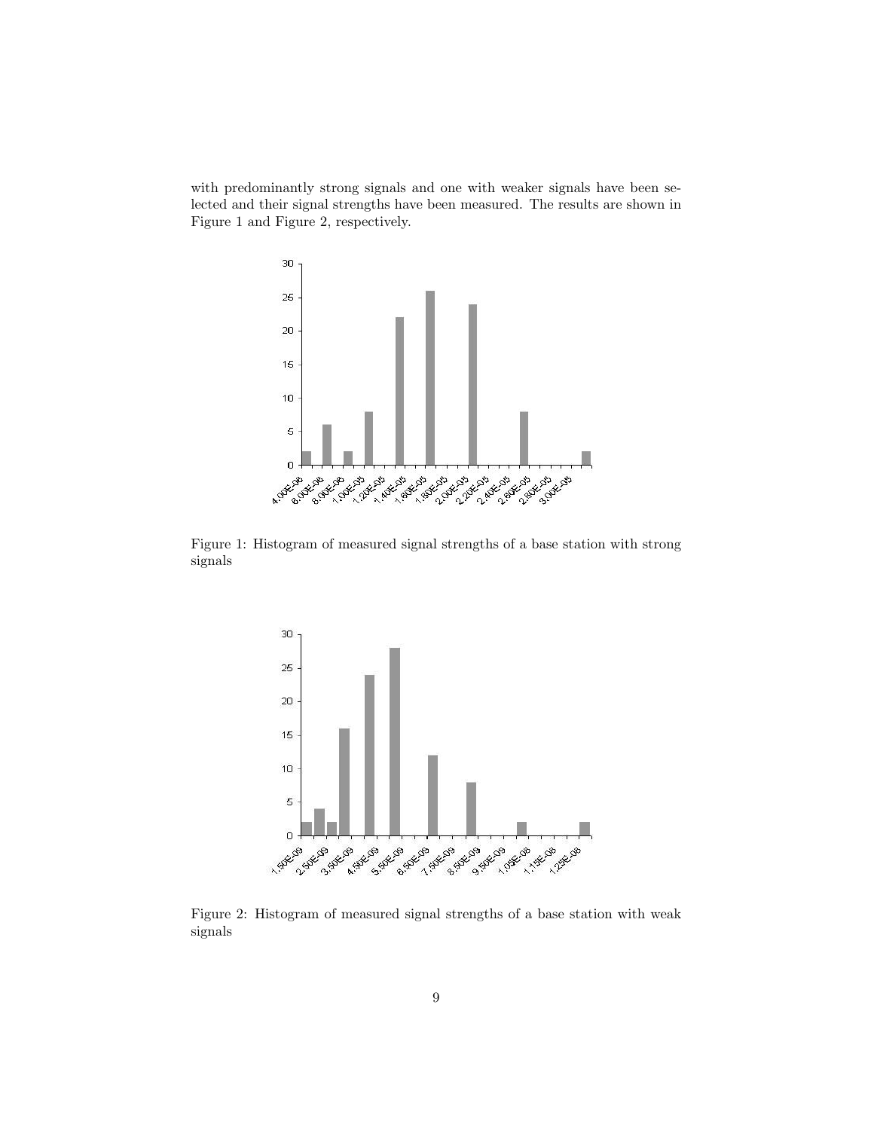with predominantly strong signals and one with weaker signals have been selected and their signal strengths have been measured. The results are shown in Figure 1 and Figure 2, respectively.



Figure 1: Histogram of measured signal strengths of a base station with strong signals



Figure 2: Histogram of measured signal strengths of a base station with weak signals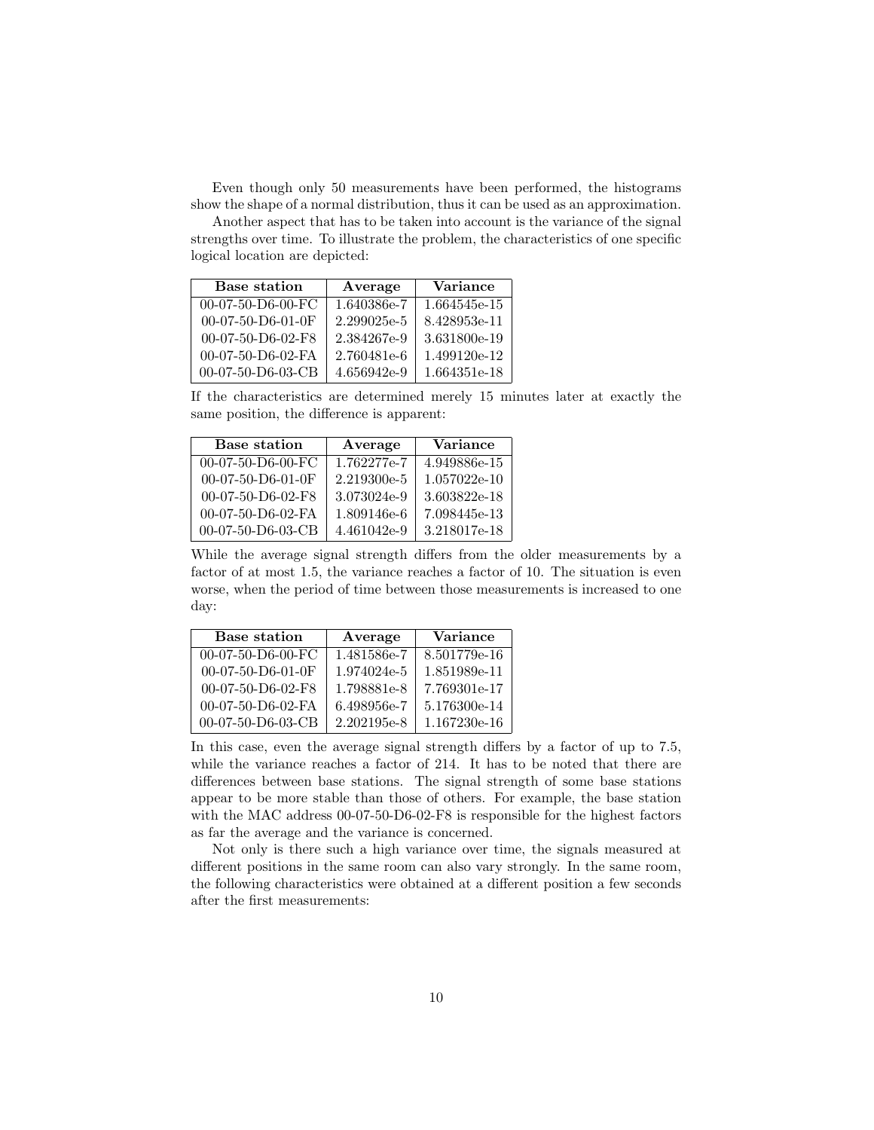Even though only 50 measurements have been performed, the histograms show the shape of a normal distribution, thus it can be used as an approximation.

Another aspect that has to be taken into account is the variance of the signal strengths over time. To illustrate the problem, the characteristics of one specific logical location are depicted:

| <b>Base station</b> | Average     | <b>Variance</b> |
|---------------------|-------------|-----------------|
| 00-07-50-D6-00-FC   | 1.640386e-7 | 1.664545e-15    |
| 00-07-50-D6-01-0F   | 2.299025e-5 | 8.428953e-11    |
| 00-07-50-D6-02-F8   | 2.384267e-9 | 3.631800e-19    |
| 00-07-50-D6-02-FA   | 2.760481e-6 | 1.499120e-12    |
| 00-07-50-D6-03-CB   | 4.656942e-9 | 1.664351e-18    |

If the characteristics are determined merely 15 minutes later at exactly the same position, the difference is apparent:

| <b>Base station</b> | Average     | <b>Variance</b> |
|---------------------|-------------|-----------------|
| $00-07-50-D6-00-FC$ | 1.762277e-7 | 4.949886e-15    |
| 00-07-50-D6-01-0F   | 2.219300e-5 | 1.057022e-10    |
| 00-07-50-D6-02-F8   | 3.073024e-9 | 3.603822e-18    |
| 00-07-50-D6-02-FA   | 1.809146e-6 | 7.098445e-13    |
| 00-07-50-D6-03-CB   | 4.461042e-9 | 3.218017e-18    |

While the average signal strength differs from the older measurements by a factor of at most 1.5, the variance reaches a factor of 10. The situation is even worse, when the period of time between those measurements is increased to one day:

| <b>Base station</b> | Average     | Variance     |
|---------------------|-------------|--------------|
| $00-07-50-D6-00-FC$ | 1.481586e-7 | 8.501779e-16 |
| 00-07-50-D6-01-0F   | 1.974024e-5 | 1.851989e-11 |
| 00-07-50-D6-02-F8   | 1.798881e-8 | 7.769301e-17 |
| 00-07-50-D6-02-FA   | 6.498956e-7 | 5.176300e-14 |
| 00-07-50-D6-03-CB   | 2.202195e-8 | 1.167230e-16 |

In this case, even the average signal strength differs by a factor of up to 7.5, while the variance reaches a factor of 214. It has to be noted that there are differences between base stations. The signal strength of some base stations appear to be more stable than those of others. For example, the base station with the MAC address 00-07-50-D6-02-F8 is responsible for the highest factors as far the average and the variance is concerned.

Not only is there such a high variance over time, the signals measured at different positions in the same room can also vary strongly. In the same room, the following characteristics were obtained at a different position a few seconds after the first measurements: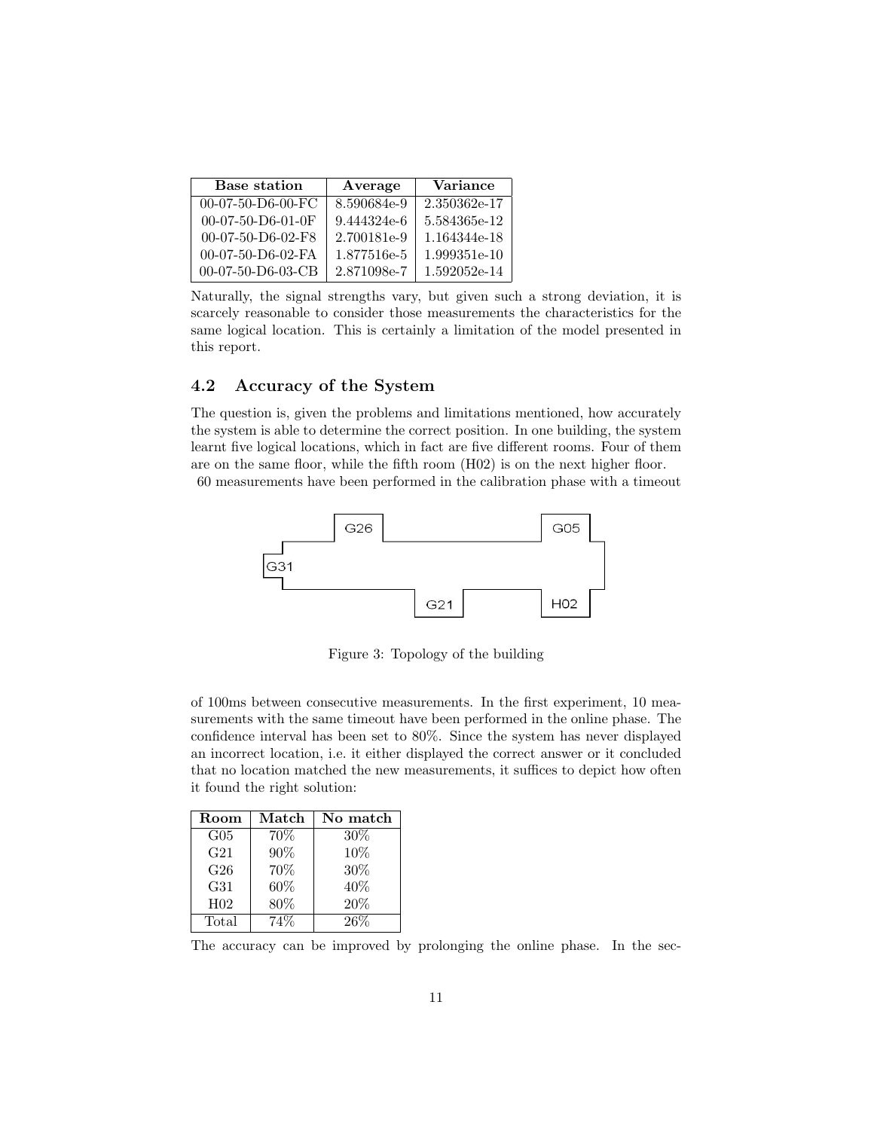| <b>Base station</b>  | Average     | <b>Variance</b> |
|----------------------|-------------|-----------------|
| $00-07-50-D6-00-FC$  | 8.590684e-9 | 2.350362e-17    |
| $00-07-50-$ D6-01-0F | 9.444324e-6 | 5.584365e-12    |
| $00-07-50-$ D6-02-F8 | 2.700181e-9 | 1.164344e-18    |
| 00-07-50-D6-02-FA    | 1.877516e-5 | 1.999351e-10    |
| 00-07-50-D6-03-CB    | 2.871098e-7 | 1.592052e-14    |

Naturally, the signal strengths vary, but given such a strong deviation, it is scarcely reasonable to consider those measurements the characteristics for the same logical location. This is certainly a limitation of the model presented in this report.

### 4.2 Accuracy of the System

The question is, given the problems and limitations mentioned, how accurately the system is able to determine the correct position. In one building, the system learnt five logical locations, which in fact are five different rooms. Four of them are on the same floor, while the fifth room (H02) is on the next higher floor. 60 measurements have been performed in the calibration phase with a timeout



Figure 3: Topology of the building

of 100ms between consecutive measurements. In the first experiment, 10 measurements with the same timeout have been performed in the online phase. The confidence interval has been set to 80%. Since the system has never displayed an incorrect location, i.e. it either displayed the correct answer or it concluded that no location matched the new measurements, it suffices to depict how often it found the right solution:

| Room            | Match | No match |
|-----------------|-------|----------|
| $G_{05}$        | 70%   | $30\%$   |
| G <sub>21</sub> | 90%   | 10%      |
| G26             | 70%   | 30%      |
| G31             | 60%   | 40%      |
| H <sub>02</sub> | 80%   | 20%      |
| Total           | 74%   | 26%      |

The accuracy can be improved by prolonging the online phase. In the sec-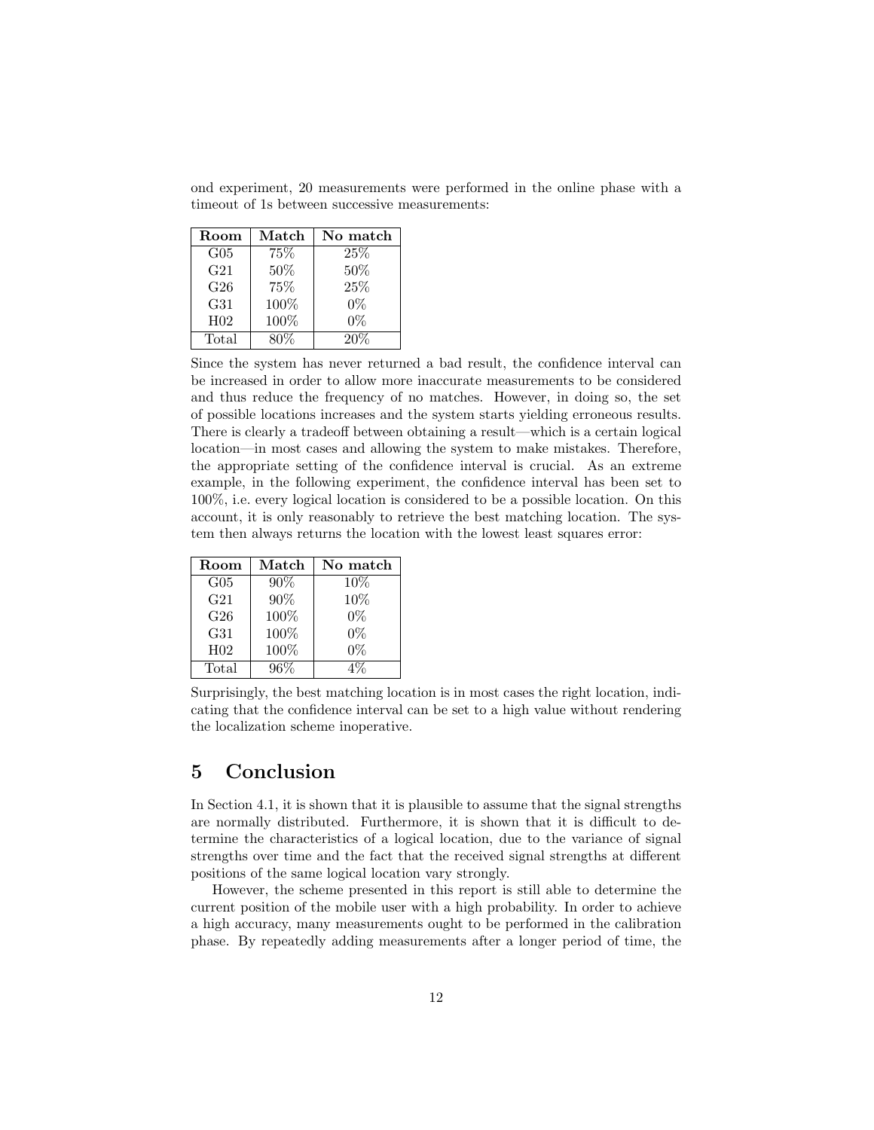ond experiment, 20 measurements were performed in the online phase with a timeout of 1s between successive measurements:

| Room            | Match | No match |
|-----------------|-------|----------|
| $G_{05}$        | 75%   | 25%      |
| G <sub>21</sub> | 50%   | 50%      |
| G26             | 75%   | 25%      |
| G <sub>31</sub> | 100%  | $0\%$    |
| H <sub>02</sub> | 100%  | 0%       |
| Total           | 80%   | 20%      |

Since the system has never returned a bad result, the confidence interval can be increased in order to allow more inaccurate measurements to be considered and thus reduce the frequency of no matches. However, in doing so, the set of possible locations increases and the system starts yielding erroneous results. There is clearly a tradeoff between obtaining a result—which is a certain logical location—in most cases and allowing the system to make mistakes. Therefore, the appropriate setting of the confidence interval is crucial. As an extreme example, in the following experiment, the confidence interval has been set to 100%, i.e. every logical location is considered to be a possible location. On this account, it is only reasonably to retrieve the best matching location. The system then always returns the location with the lowest least squares error:

| Room            | Match  | No match |
|-----------------|--------|----------|
| $G_{05}$        | $90\%$ | 10%      |
| G <sub>21</sub> | 90%    | 10%      |
| G <sub>26</sub> | 100%   | $0\%$    |
| G <sub>31</sub> | 100%   | $0\%$    |
| H <sub>02</sub> | 100%   | 0%       |
| Total           | 96%    |          |

Surprisingly, the best matching location is in most cases the right location, indicating that the confidence interval can be set to a high value without rendering the localization scheme inoperative.

# 5 Conclusion

In Section 4.1, it is shown that it is plausible to assume that the signal strengths are normally distributed. Furthermore, it is shown that it is difficult to determine the characteristics of a logical location, due to the variance of signal strengths over time and the fact that the received signal strengths at different positions of the same logical location vary strongly.

However, the scheme presented in this report is still able to determine the current position of the mobile user with a high probability. In order to achieve a high accuracy, many measurements ought to be performed in the calibration phase. By repeatedly adding measurements after a longer period of time, the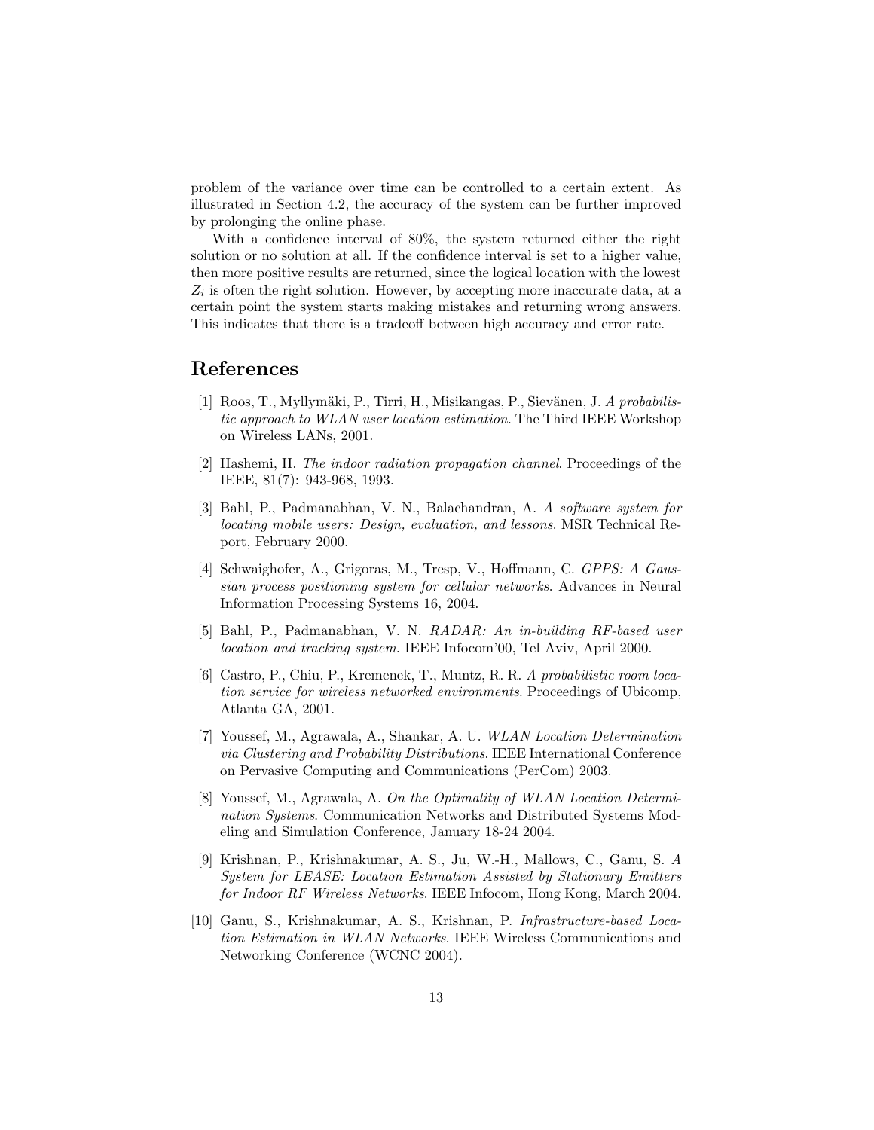problem of the variance over time can be controlled to a certain extent. As illustrated in Section 4.2, the accuracy of the system can be further improved by prolonging the online phase.

With a confidence interval of 80%, the system returned either the right solution or no solution at all. If the confidence interval is set to a higher value, then more positive results are returned, since the logical location with the lowest  $Z_i$  is often the right solution. However, by accepting more inaccurate data, at a certain point the system starts making mistakes and returning wrong answers. This indicates that there is a tradeoff between high accuracy and error rate.

### References

- [1] Roos, T., Myllymäki, P., Tirri, H., Misikangas, P., Sievänen, J. A probabilistic approach to WLAN user location estimation. The Third IEEE Workshop on Wireless LANs, 2001.
- [2] Hashemi, H. The indoor radiation propagation channel. Proceedings of the IEEE, 81(7): 943-968, 1993.
- [3] Bahl, P., Padmanabhan, V. N., Balachandran, A. A software system for locating mobile users: Design, evaluation, and lessons. MSR Technical Report, February 2000.
- [4] Schwaighofer, A., Grigoras, M., Tresp, V., Hoffmann, C. GPPS: A Gaussian process positioning system for cellular networks. Advances in Neural Information Processing Systems 16, 2004.
- [5] Bahl, P., Padmanabhan, V. N. RADAR: An in-building RF-based user location and tracking system. IEEE Infocom'00, Tel Aviv, April 2000.
- [6] Castro, P., Chiu, P., Kremenek, T., Muntz, R. R. A probabilistic room location service for wireless networked environments. Proceedings of Ubicomp, Atlanta GA, 2001.
- [7] Youssef, M., Agrawala, A., Shankar, A. U. WLAN Location Determination via Clustering and Probability Distributions. IEEE International Conference on Pervasive Computing and Communications (PerCom) 2003.
- [8] Youssef, M., Agrawala, A. On the Optimality of WLAN Location Determination Systems. Communication Networks and Distributed Systems Modeling and Simulation Conference, January 18-24 2004.
- [9] Krishnan, P., Krishnakumar, A. S., Ju, W.-H., Mallows, C., Ganu, S. A System for LEASE: Location Estimation Assisted by Stationary Emitters for Indoor RF Wireless Networks. IEEE Infocom, Hong Kong, March 2004.
- [10] Ganu, S., Krishnakumar, A. S., Krishnan, P. Infrastructure-based Location Estimation in WLAN Networks. IEEE Wireless Communications and Networking Conference (WCNC 2004).